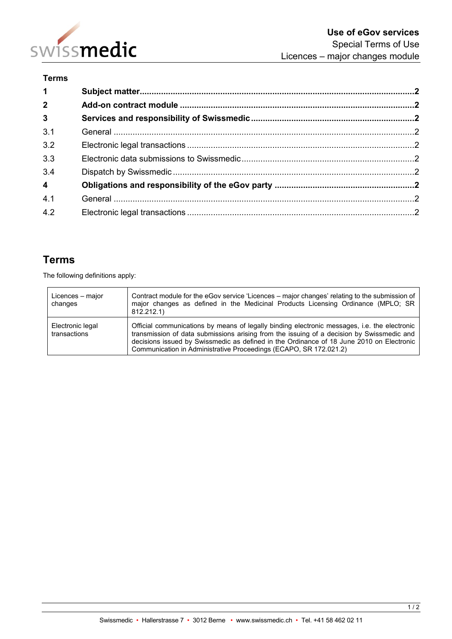

## **Terms**

| 1 <sup>1</sup> |  |
|----------------|--|
| 2 <sup>1</sup> |  |
| 3 <sup>1</sup> |  |
| 3.1            |  |
| 3.2            |  |
| 3.3            |  |
| 3.4            |  |
| $\overline{4}$ |  |
| 4.1            |  |
| 4.2            |  |

# **Terms**

The following definitions apply:

| Licences - major<br>changes      | Contract module for the eGov service 'Licences – major changes' relating to the submission of<br>major changes as defined in the Medicinal Products Licensing Ordinance (MPLO; SR<br>812.212.1)                                                                                                                                                            |
|----------------------------------|------------------------------------------------------------------------------------------------------------------------------------------------------------------------------------------------------------------------------------------------------------------------------------------------------------------------------------------------------------|
| Electronic legal<br>transactions | Official communications by means of legally binding electronic messages, i.e. the electronic<br>transmission of data submissions arising from the issuing of a decision by Swissmedic and<br>decisions issued by Swissmedic as defined in the Ordinance of 18 June 2010 on Electronic<br>Communication in Administrative Proceedings (ECAPO, SR 172.021.2) |